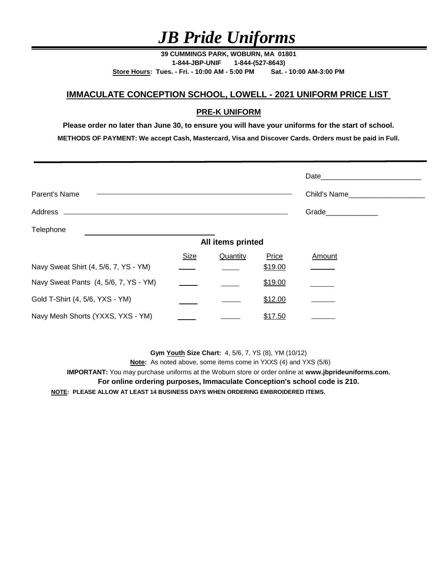**39 CUMMINGS PARK, WOBURN, MA 01801 1-844-JBP-UNIF 1-844-(527-8643) Store Hours: Tues. - Fri. - 10:00 AM - 5:00 PM Sat. - 10:00 AM-3:00 PM**

## **IMMACULATE CONCEPTION SCHOOL, LOWELL - 2021 UNIFORM PRICE LIST**

### **PRE-K UNIFORM**

**Please order no later than June 30, to ensure you will have your uniforms for the start of school. METHODS OF PAYMENT: We accept Cash, Mastercard, Visa and Discover Cards. Orders must be paid in Full.**

|                                       |             |                   |         | Date and the state of the state of the state of the state of the state of the state of the state of the state of the state of the state of the state of the state of the state of the state of the state of the state of the s |
|---------------------------------------|-------------|-------------------|---------|--------------------------------------------------------------------------------------------------------------------------------------------------------------------------------------------------------------------------------|
| Parent's Name                         |             |                   |         | Child's Name                                                                                                                                                                                                                   |
|                                       |             |                   |         | Grade_______________                                                                                                                                                                                                           |
| Telephone                             |             |                   |         |                                                                                                                                                                                                                                |
|                                       |             | All items printed |         |                                                                                                                                                                                                                                |
|                                       | <b>Size</b> | Quantity          | Price   | Amount                                                                                                                                                                                                                         |
| Navy Sweat Shirt (4, 5/6, 7, YS - YM) |             |                   | \$19.00 |                                                                                                                                                                                                                                |
| Navy Sweat Pants (4, 5/6, 7, YS - YM) |             |                   | \$19.00 |                                                                                                                                                                                                                                |
| Gold T-Shirt (4, 5/6, YXS - YM)       |             |                   | \$12.00 |                                                                                                                                                                                                                                |
| Navy Mesh Shorts (YXXS, YXS - YM)     |             |                   | \$17.50 |                                                                                                                                                                                                                                |

**Gym Youth Size Chart:** 4, 5/6, 7, YS (8), YM (10/12)

 **Note:** As noted above, some items come in YXXS (4) and YXS (5/6)

**IMPORTANT:** You may purchase uniforms at the Woburn store or order online at **www.jbprideuniforms.com.**

**For online ordering purposes, Immaculate Conception's school code is 210.**

**NOTE: PLEASE ALLOW AT LEAST 14 BUSINESS DAYS WHEN ORDERING EMBROIDERED ITEMS.**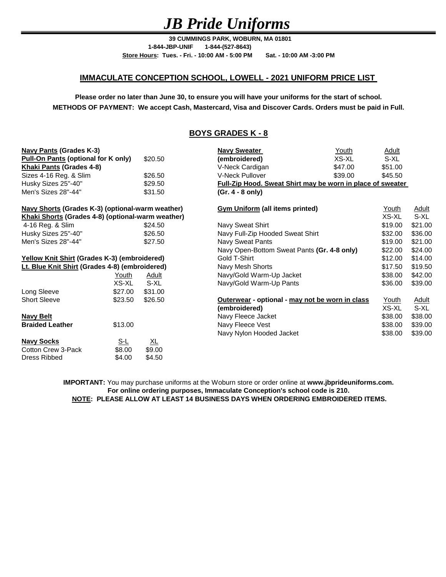**39 CUMMINGS PARK, WOBURN, MA 01801 Store Hours: Tues. - Fri. - 10:00 AM - 5:00 PM Sat. - 10:00 AM -3:00 PM 1-844-JBP-UNIF 1-844-(527-8643)**

#### **IMMACULATE CONCEPTION SCHOOL, LOWELL - 2021 UNIFORM PRICE LIST**

**METHODS OF PAYMENT: We accept Cash, Mastercard, Visa and Discover Cards. Orders must be paid in Full. Please order no later than June 30, to ensure you will have your uniforms for the start of school.**

#### **BOYS GRADES K - 8**

| <b>Navy Pants (Grades K-3)</b>                      |              |                  | <b>Navy Sweater</b>                             | Youth                                                             | <b>Adult</b> |              |  |
|-----------------------------------------------------|--------------|------------------|-------------------------------------------------|-------------------------------------------------------------------|--------------|--------------|--|
| <b>Pull-On Pants (optional for K only)</b>          |              | \$20.50          | (embroidered)                                   | XS-XL                                                             | S-XL         |              |  |
| Khaki Pants (Grades 4-8)                            |              |                  | V-Neck Cardigan                                 | \$47.00                                                           | \$51.00      |              |  |
| Sizes 4-16 Reg. & Slim                              |              | \$26.50          | <b>V-Neck Pullover</b>                          | \$39.00                                                           | \$45.50      |              |  |
| Husky Sizes 25"-40"                                 |              | \$29.50          |                                                 | <b>Full-Zip Hood. Sweat Shirt may be worn in place of sweater</b> |              |              |  |
| Men's Sizes 28"-44"                                 |              | \$31.50          | $(Gr. 4 - 8 only)$                              |                                                                   |              |              |  |
| Navy Shorts (Grades K-3) (optional-warm weather)    |              |                  | <b>Gym Uniform (all items printed)</b>          |                                                                   | <u>Adult</u> |              |  |
| Khaki Shorts (Grades 4-8) (optional-warm weather)   |              |                  |                                                 | XS-XL                                                             | S-XL         |              |  |
| 4-16 Reg. & Slim                                    |              | \$24.50          | Navy Sweat Shirt                                |                                                                   | \$19.00      | \$21.00      |  |
| Husky Sizes 25"-40"                                 |              | \$26.50          | Navy Full-Zip Hooded Sweat Shirt                |                                                                   | \$32.00      | \$36.00      |  |
| Men's Sizes 28"-44"                                 |              | \$27.50          | Navy Sweat Pants                                |                                                                   | \$19.00      | \$21.00      |  |
|                                                     |              |                  | Navy Open-Bottom Sweat Pants (Gr. 4-8 only)     |                                                                   | \$22.00      | \$24.00      |  |
| <b>Yellow Knit Shirt (Grades K-3) (embroidered)</b> |              | Gold T-Shirt     |                                                 |                                                                   | \$14.00      |              |  |
| Lt. Blue Knit Shirt (Grades 4-8) (embroidered)      |              | Navy Mesh Shorts |                                                 | \$17.50                                                           | \$19.50      |              |  |
|                                                     | <u>Youth</u> | <u>Adult</u>     | Navy/Gold Warm-Up Jacket                        |                                                                   | \$38.00      | \$42.00      |  |
|                                                     | XS-XL        | S-XL             | Navy/Gold Warm-Up Pants                         |                                                                   | \$36.00      | \$39.00      |  |
| Long Sleeve                                         | \$27.00      | \$31.00          |                                                 |                                                                   |              |              |  |
| <b>Short Sleeve</b>                                 | \$23.50      | \$26.50          | Outerwear - optional - may not be worn in class |                                                                   | <u>Youth</u> | <u>Adult</u> |  |
|                                                     |              |                  | (embroidered)                                   |                                                                   | XS-XL        | S-XL         |  |
| Navy Belt                                           |              |                  | Navy Fleece Jacket                              |                                                                   | \$38.00      | \$38.00      |  |
| <b>Braided Leather</b>                              | \$13.00      |                  | Navy Fleece Vest                                |                                                                   | \$38.00      | \$39.00      |  |
|                                                     |              |                  | Navy Nylon Hooded Jacket                        |                                                                   | \$38.00      | \$39.00      |  |
| <b>Navy Socks</b>                                   | <u>S-L</u>   | <u>XL</u>        |                                                 |                                                                   |              |              |  |
| Cotton Crew 3-Pack                                  | \$8.00       | \$9.00           |                                                 |                                                                   |              |              |  |
| Dress Ribbed                                        | \$4.00       | \$4.50           |                                                 |                                                                   |              |              |  |

**IMPORTANT:** You may purchase uniforms at the Woburn store or order online at **www.jbprideuniforms.com. NOTE: PLEASE ALLOW AT LEAST 14 BUSINESS DAYS WHEN ORDERING EMBROIDERED ITEMS. For online ordering purposes, Immaculate Conception's school code is 210.**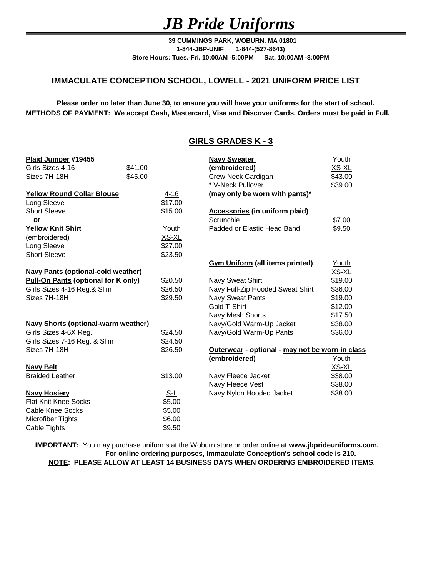**39 CUMMINGS PARK, WOBURN, MA 01801 1-844-JBP-UNIF 1-844-(527-8643) Store Hours: Tues.-Fri. 10:00AM -5:00PM Sat. 10:00AM -3:00PM**

#### **IMMACULATE CONCEPTION SCHOOL, LOWELL - 2021 UNIFORM PRICE LIST**

**METHODS OF PAYMENT: We accept Cash, Mastercard, Visa and Discover Cards. Orders must be paid in Full. Please order no later than June 30, to ensure you will have your uniforms for the start of school.**

### **GIRLS GRADES K - 3**

| Plaid Jumper #19455                                   |         |                  | <b>Navy Sweater</b>                             | Youth   |
|-------------------------------------------------------|---------|------------------|-------------------------------------------------|---------|
| Girls Sizes 4-16                                      | \$41.00 |                  | (embroidered)                                   | XS-XL   |
| Sizes 7H-18H                                          | \$45.00 |                  | Crew Neck Cardigan                              | \$43.00 |
|                                                       |         |                  | * V-Neck Pullover                               | \$39.00 |
| <b>Yellow Round Collar Blouse</b>                     |         | 4-16             | (may only be worn with pants)*                  |         |
| Long Sleeve                                           |         | \$17.00          |                                                 |         |
| <b>Short Sleeve</b>                                   |         | \$15.00          | <b>Accessories (in uniform plaid)</b>           |         |
| or                                                    |         |                  | Scrunchie                                       | \$7.00  |
| <b>Yellow Knit Shirt</b>                              |         | Youth            | Padded or Elastic Head Band                     | \$9.50  |
| (embroidered)                                         |         | XS-XL            |                                                 |         |
| Long Sleeve                                           |         | \$27.00          |                                                 |         |
| <b>Short Sleeve</b>                                   |         | \$23.50          |                                                 |         |
|                                                       |         |                  | <b>Gym Uniform (all items printed)</b>          | Youth   |
| <b>Navy Pants (optional-cold weather)</b>             |         |                  |                                                 | XS-XL   |
| <b>Pull-On Pants (optional for K only)</b><br>\$20.50 |         | Navy Sweat Shirt | \$19.00                                         |         |
| Girls Sizes 4-16 Reg.& Slim                           |         | \$26.50          | Navy Full-Zip Hooded Sweat Shirt                | \$36.00 |
| Sizes 7H-18H                                          |         | \$29.50          | <b>Navy Sweat Pants</b>                         | \$19.00 |
|                                                       |         |                  | Gold T-Shirt                                    | \$12.00 |
|                                                       |         |                  | Navy Mesh Shorts                                | \$17.50 |
| <b>Navy Shorts (optional-warm weather)</b>            |         |                  | Navy/Gold Warm-Up Jacket                        | \$38.00 |
| Girls Sizes 4-6X Reg.                                 |         | \$24.50          | Navy/Gold Warm-Up Pants                         | \$36.00 |
| Girls Sizes 7-16 Reg. & Slim                          |         | \$24.50          |                                                 |         |
| Sizes 7H-18H                                          |         | \$26.50          | Outerwear - optional - may not be worn in class |         |
|                                                       |         |                  | (embroidered)                                   | Youth   |
| <b>Navy Belt</b>                                      |         |                  |                                                 | XS-XL   |
| <b>Braided Leather</b>                                |         | \$13.00          | Navy Fleece Jacket                              | \$38.00 |
|                                                       |         |                  | Navy Fleece Vest                                | \$38.00 |
| <b>Navy Hosiery</b>                                   |         | $S-L$            | Navy Nylon Hooded Jacket                        | \$38.00 |
| <b>Flat Knit Knee Socks</b>                           |         | \$5.00           |                                                 |         |
| Cable Knee Socks                                      |         | \$5.00           |                                                 |         |
| <b>Microfiber Tights</b>                              |         | \$6.00           |                                                 |         |
| Cable Tights                                          |         | \$9.50           |                                                 |         |

**IMPORTANT:** You may purchase uniforms at the Woburn store or order online at **www.jbprideuniforms.com. NOTE: PLEASE ALLOW AT LEAST 14 BUSINESS DAYS WHEN ORDERING EMBROIDERED ITEMS. For online ordering purposes, Immaculate Conception's school code is 210.**